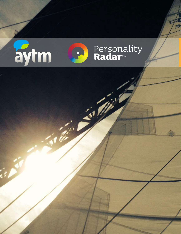

 $\mathbf{z}$ 

 $\mathcal{B}$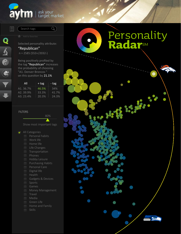#### ask your target market

匡 **Q**<br> **G**<br> **G** 

Search tags

Selected personality attribute: "Republican" n = 2585 (553+/2032-)

 $Q$ 

Being positively profiled by the tag "Republican" increases the probability of choosing "A1. Denver Broncos " on this question by 21.1%

| ΑII       | + tag | - tag |
|-----------|-------|-------|
| A1. 36.7% | 46.5% | 34%   |
| A2. 39.9% | 33.3% | 41.7% |
| A3. 23.4% | 20.3% | 24.3% |

#### FILTERS

Show most important tags

80%

- All Categories
	- Personal habits
	- Work life
	- Home life
	- Life Changes
	- Transportation
	- Phones
	- Hobby Leisure
	- Purchasing Habits
	- Personal Care
	- Digital life
	- Health
	- Gadgets & Devices
	- Sports
	- Games
	- Money Management
	- **Travel**
	- Media
	- Green Life
	- Home and Family
	- Skills

# Personality Radar<sup>SM</sup>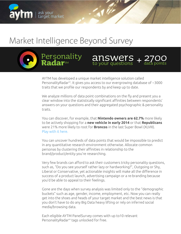

## Market Intelligence Beyond Survey

Personality **Radar**SM



AYTM has developed a unique market intelligence solution called PersonalityRadar $^{5M}$ . It gives you access to our evergrowing database of  $\sim$ 3000 traits that we profile our respondents by and keep up to date.

We analyze millions of data point combinations on the fly and present you a clear window into the statistically significant affinities between respondents' answers on your questions and their aggregated psychographic & personality traits.

You can discover, for example, that **Nintendo owners are 62.7%** more likely to be actively shopping for a **new vehicle in early 2014** or that **Republicans** were 21% more likely to root for **Broncos** in the last Super Bowl (XLVIII). Play with it here.

You can uncover hundreds of data points that would be impossible to predict in any quantitative research environment otherwise. Allocate common personas by clustering their affinities in relationship to the brand/product/entity you're researching.

Very few brands can afford to ask their customers tricky personality questions, such as, "Do you see yourself rather lazy or hardworking?", Outgoing or Shy, Liberal or Conservative, yet actionable insights will make all the difference in success of a product launch, advertising campaign or a re-branding because you'd be able to appeal to their feelings.

Gone are the days when survey analysis was limited only to the "demographic buckets" such as age, gender, income, employment, etc. Now you can really get into the shoes and heads of your target market and the best news is that you don't have to do any Big Data heavy lifting or rely on inferred social media/browsing data.

Each eligible AYTM PanelSurvey comes with up to10 relevant PersonalityRadar<sup>sM</sup> tags unlocked for free.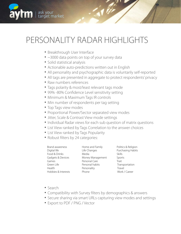

### PERSONALITY RADAR HIGHLIGHTS

- Breakthrough User Interface
- ~3000 data points on top of your survey data
- Solid statistical analysis
- Actionable auto-predictions written out in English
- All personality and psychographic data is voluntarily self-reported
- All tags are presented in aggregate to protect respondents' privacy
- Raw numbers references
- Tags polarity & most/least relevant tags mode
- 99% -80% Confidence Level sensitivity setting
- Minimum & Maximum Tags IR controls
- Min number of respondents per tag setting
- Top Tags view modes
- Proportional Power/Sector separated view modes
- Jitter, Scale & Contrast View mode settings
- Individual Radar views for each sub question of matrix questions
- List View ranked by Tags Correlation to the answer choices
- List View ranked by Tags Popularity
- Robust filters by 24 categories:

Brand awareness Digital life Food & Drinks Gadgets & Devices Games Green Life Health Hobbies & Interests Home and Family Life Changes Media Money Management Personal Care Personal habits Personality Phone

Politics & Religion Purchasing Habits Skills Sports Trait Transportation Travel Work / Career

- Search
- Compatibility with Survey filters by demographics & answers
- Secure sharing via smart URLs capturing view modes and settings
- Export to PDF / PNG / Vector